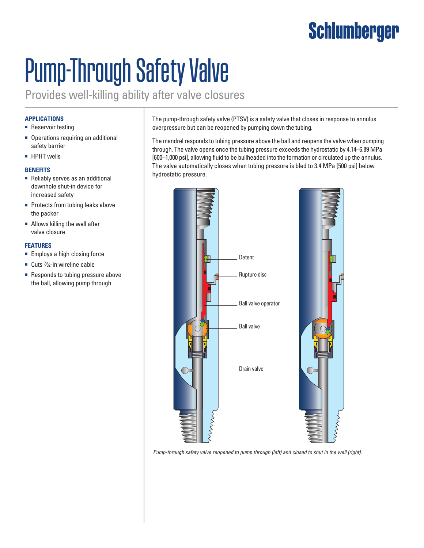### **Schlumberger**

# Pump-Through Safety Valve

Provides well-killing ability after valve closures

#### **APPLICATIONS**

- Reservoir testing
- Operations requiring an additional safety barrier
- HPHT wells

#### **BENEFITS**

- Reliably serves as an additional downhole shut-in device for increased safety
- Protects from tubing leaks above the packer
- Allows killing the well after valve closure

#### **FEATURES**

- Employs a high closing force
- Cuts 1/<sub>32</sub>-in wireline cable
- Responds to tubing pressure above the ball, allowing pump through

The pump-through safety valve (PTSV) is a safety valve that closes in response to annulus overpressure but can be reopened by pumping down the tubing.

The mandrel responds to tubing pressure above the ball and reopens the valve when pumping through. The valve opens once the tubing pressure exceeds the hydrostatic by 4.14–6.89 MPa [600–1,000 psi], allowing fluid to be bullheaded into the formation or circulated up the annulus. The valve automatically closes when tubing pressure is bled to 3.4 MPa [500 psi] below hydrostatic pressure.



*Pump-through safety valve reopened to pump through (left) and closed to shut in the well (right).*